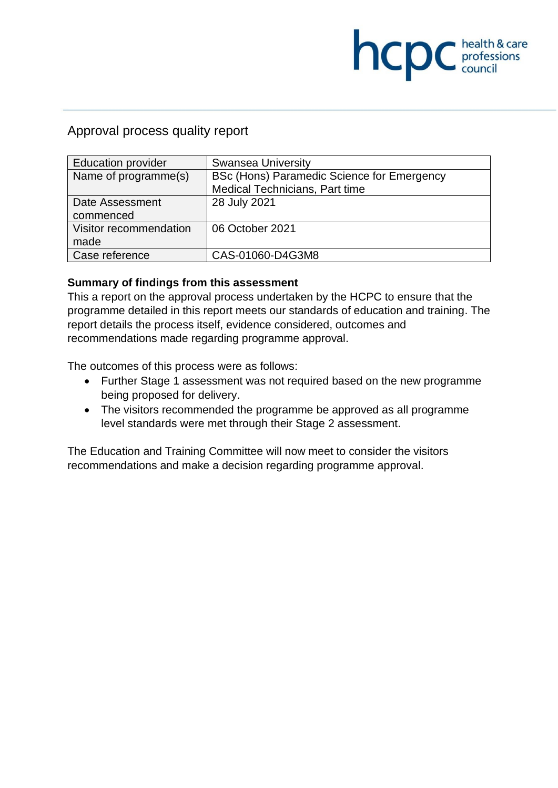# **NCDC** *c health* & care

# Approval process quality report

| Education provider     | <b>Swansea University</b>                  |
|------------------------|--------------------------------------------|
| Name of programme(s)   | BSc (Hons) Paramedic Science for Emergency |
|                        | Medical Technicians, Part time             |
| Date Assessment        | 28 July 2021                               |
| commenced              |                                            |
| Visitor recommendation | 06 October 2021                            |
| made                   |                                            |
| Case reference         | CAS-01060-D4G3M8                           |

# **Summary of findings from this assessment**

This a report on the approval process undertaken by the HCPC to ensure that the programme detailed in this report meets our standards of education and training. The report details the process itself, evidence considered, outcomes and recommendations made regarding programme approval.

The outcomes of this process were as follows:

- Further Stage 1 assessment was not required based on the new programme being proposed for delivery.
- The visitors recommended the programme be approved as all programme level standards were met through their Stage 2 assessment.

The Education and Training Committee will now meet to consider the visitors recommendations and make a decision regarding programme approval.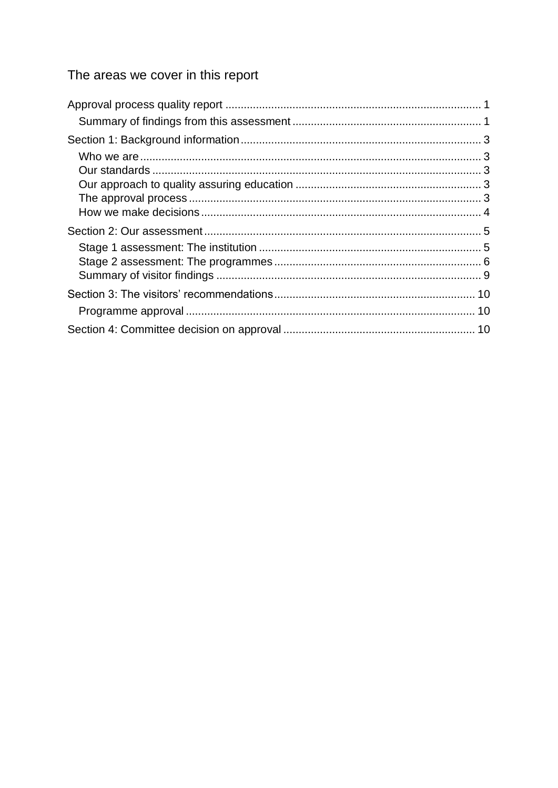# The areas we cover in this report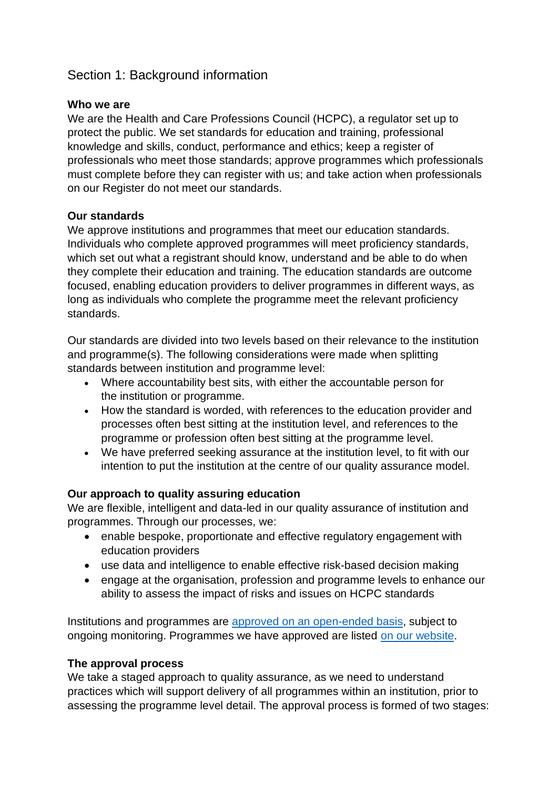# Section 1: Background information

#### **Who we are**

We are the Health and Care Professions Council (HCPC), a regulator set up to protect the public. We set standards for education and training, professional knowledge and skills, conduct, performance and ethics; keep a register of professionals who meet those standards; approve programmes which professionals must complete before they can register with us; and take action when professionals on our Register do not meet our standards.

#### **Our standards**

We approve institutions and programmes that meet our education standards. Individuals who complete approved programmes will meet proficiency standards, which set out what a registrant should know, understand and be able to do when they complete their education and training. The education standards are outcome focused, enabling education providers to deliver programmes in different ways, as long as individuals who complete the programme meet the relevant proficiency standards.

Our standards are divided into two levels based on their relevance to the institution and programme(s). The following considerations were made when splitting standards between institution and programme level:

- Where accountability best sits, with either the accountable person for the institution or programme.
- How the standard is worded, with references to the education provider and processes often best sitting at the institution level, and references to the programme or profession often best sitting at the programme level.
- We have preferred seeking assurance at the institution level, to fit with our intention to put the institution at the centre of our quality assurance model.

#### **Our approach to quality assuring education**

We are flexible, intelligent and data-led in our quality assurance of institution and programmes. Through our processes, we:

- enable bespoke, proportionate and effective regulatory engagement with education providers
- use data and intelligence to enable effective risk-based decision making
- engage at the organisation, profession and programme levels to enhance our ability to assess the impact of risks and issues on HCPC standards

Institutions and programmes are [approved on an open-ended basis,](http://www.hcpc-uk.org/education/processes/) subject to ongoing monitoring. Programmes we have approved are listed [on our website.](http://www.hcpc-uk.org/education/programmes/register/)

#### **The approval process**

We take a staged approach to quality assurance, as we need to understand practices which will support delivery of all programmes within an institution, prior to assessing the programme level detail. The approval process is formed of two stages: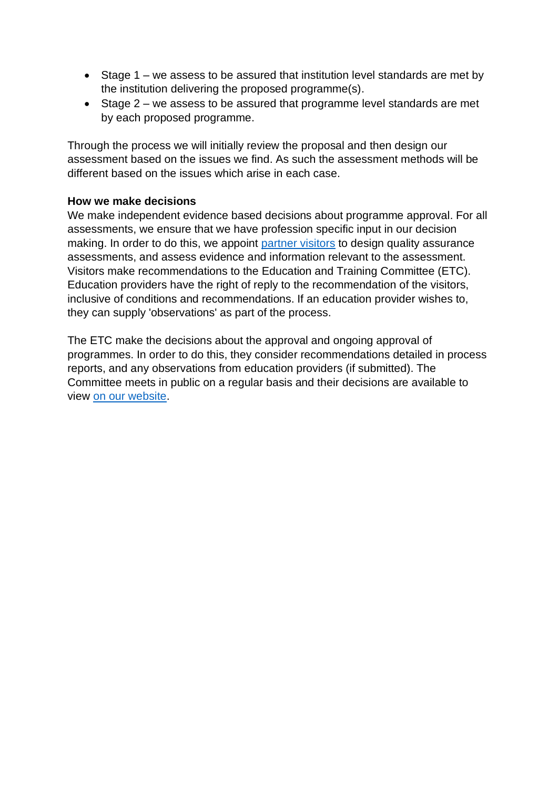- Stage 1 we assess to be assured that institution level standards are met by the institution delivering the proposed programme(s).
- Stage 2 we assess to be assured that programme level standards are met by each proposed programme.

Through the process we will initially review the proposal and then design our assessment based on the issues we find. As such the assessment methods will be different based on the issues which arise in each case.

#### **How we make decisions**

We make independent evidence based decisions about programme approval. For all assessments, we ensure that we have profession specific input in our decision making. In order to do this, we appoint [partner visitors](http://www.hcpc-uk.org/aboutus/partners/) to design quality assurance assessments, and assess evidence and information relevant to the assessment. Visitors make recommendations to the Education and Training Committee (ETC). Education providers have the right of reply to the recommendation of the visitors, inclusive of conditions and recommendations. If an education provider wishes to, they can supply 'observations' as part of the process.

The ETC make the decisions about the approval and ongoing approval of programmes. In order to do this, they consider recommendations detailed in process reports, and any observations from education providers (if submitted). The Committee meets in public on a regular basis and their decisions are available to view [on our website.](http://www.hcpc-uk.org/aboutus/committees/educationandtrainingpanel/)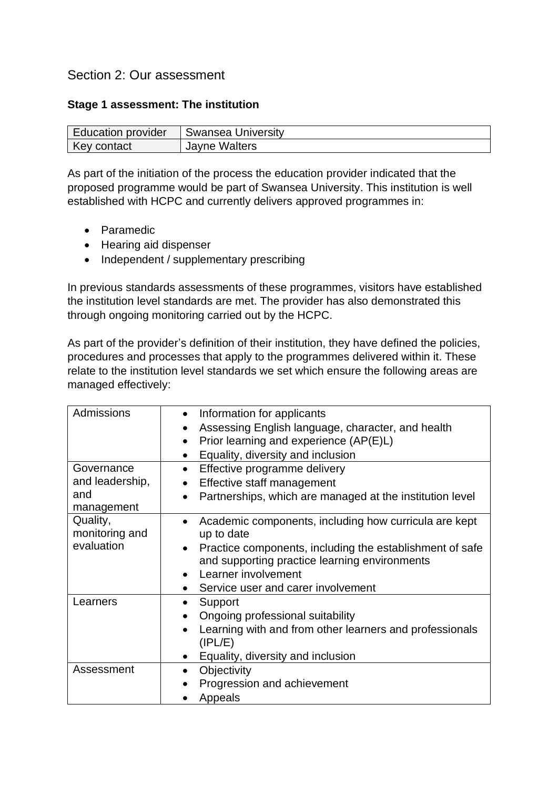# Section 2: Our assessment

#### **Stage 1 assessment: The institution**

| <b>Education provider</b> | Swansea University   |
|---------------------------|----------------------|
| Key contact               | <b>Jayne Walters</b> |

As part of the initiation of the process the education provider indicated that the proposed programme would be part of Swansea University. This institution is well established with HCPC and currently delivers approved programmes in:

- Paramedic
- Hearing aid dispenser
- Independent / supplementary prescribing

In previous standards assessments of these programmes, visitors have established the institution level standards are met. The provider has also demonstrated this through ongoing monitoring carried out by the HCPC.

As part of the provider's definition of their institution, they have defined the policies, procedures and processes that apply to the programmes delivered within it. These relate to the institution level standards we set which ensure the following areas are managed effectively:

| Admissions<br>Governance                 | Information for applicants<br>Assessing English language, character, and health<br>$\bullet$<br>Prior learning and experience (AP(E)L)<br>$\bullet$<br>Equality, diversity and inclusion<br>$\bullet$<br>Effective programme delivery<br>$\bullet$ |
|------------------------------------------|----------------------------------------------------------------------------------------------------------------------------------------------------------------------------------------------------------------------------------------------------|
| and leadership,                          | Effective staff management                                                                                                                                                                                                                         |
| and<br>management                        | Partnerships, which are managed at the institution level<br>$\bullet$                                                                                                                                                                              |
| Quality,<br>monitoring and<br>evaluation | Academic components, including how curricula are kept<br>up to date                                                                                                                                                                                |
|                                          | Practice components, including the establishment of safe<br>and supporting practice learning environments                                                                                                                                          |
|                                          | Learner involvement                                                                                                                                                                                                                                |
|                                          | Service user and carer involvement                                                                                                                                                                                                                 |
| Learners                                 | Support<br>Ongoing professional suitability<br>$\bullet$                                                                                                                                                                                           |
|                                          | Learning with and from other learners and professionals<br>(IPL/E)                                                                                                                                                                                 |
|                                          | Equality, diversity and inclusion                                                                                                                                                                                                                  |
| Assessment                               | Objectivity<br>$\bullet$                                                                                                                                                                                                                           |
|                                          | Progression and achievement                                                                                                                                                                                                                        |
|                                          | Appeals                                                                                                                                                                                                                                            |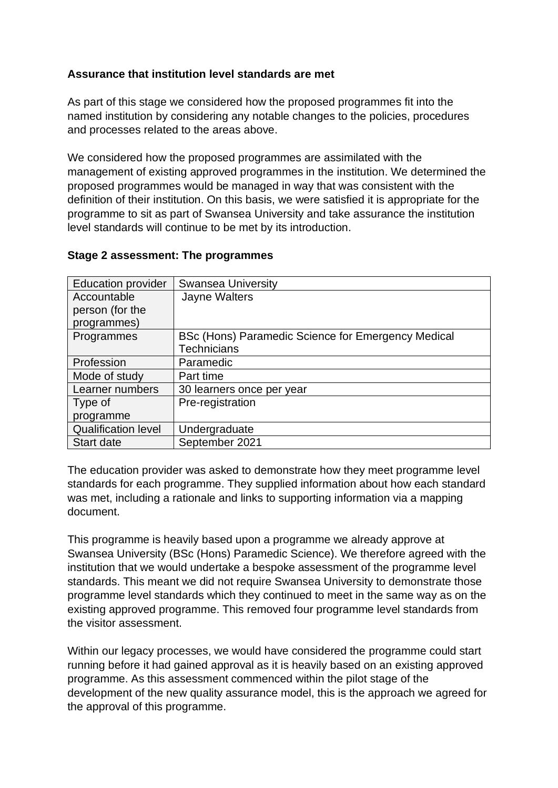# **Assurance that institution level standards are met**

As part of this stage we considered how the proposed programmes fit into the named institution by considering any notable changes to the policies, procedures and processes related to the areas above.

We considered how the proposed programmes are assimilated with the management of existing approved programmes in the institution. We determined the proposed programmes would be managed in way that was consistent with the definition of their institution. On this basis, we were satisfied it is appropriate for the programme to sit as part of Swansea University and take assurance the institution level standards will continue to be met by its introduction.

| <b>Education provider</b>  | <b>Swansea University</b>                          |
|----------------------------|----------------------------------------------------|
| Accountable                | Jayne Walters                                      |
| person (for the            |                                                    |
| programmes)                |                                                    |
| Programmes                 | BSc (Hons) Paramedic Science for Emergency Medical |
|                            | Technicians                                        |
| Profession                 | Paramedic                                          |
| Mode of study              | Part time                                          |
| Learner numbers            | 30 learners once per year                          |
| Type of                    | Pre-registration                                   |
| programme                  |                                                    |
| <b>Qualification level</b> | Undergraduate                                      |
| <b>Start date</b>          | September 2021                                     |

#### **Stage 2 assessment: The programmes**

The education provider was asked to demonstrate how they meet programme level standards for each programme. They supplied information about how each standard was met, including a rationale and links to supporting information via a mapping document.

This programme is heavily based upon a programme we already approve at Swansea University (BSc (Hons) Paramedic Science). We therefore agreed with the institution that we would undertake a bespoke assessment of the programme level standards. This meant we did not require Swansea University to demonstrate those programme level standards which they continued to meet in the same way as on the existing approved programme. This removed four programme level standards from the visitor assessment.

Within our legacy processes, we would have considered the programme could start running before it had gained approval as it is heavily based on an existing approved programme. As this assessment commenced within the pilot stage of the development of the new quality assurance model, this is the approach we agreed for the approval of this programme.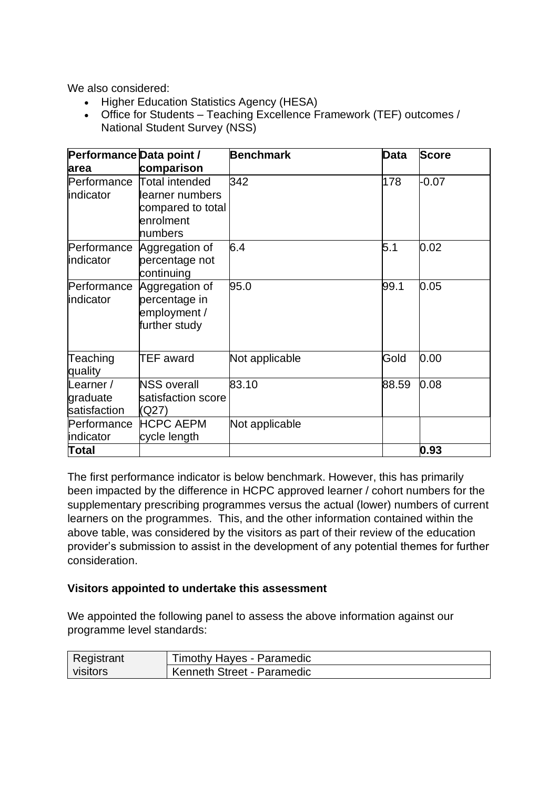We also considered:

- Higher Education Statistics Agency (HESA)
- Office for Students Teaching Excellence Framework (TEF) outcomes / National Student Survey (NSS)

| Performance Data point /              |                                                                  | <b>Benchmark</b> | Data  | <b>Score</b> |
|---------------------------------------|------------------------------------------------------------------|------------------|-------|--------------|
| area                                  | comparison                                                       |                  |       |              |
| Performance<br>indicator              | Total intended<br>learner numbers                                | 342              | 178   | $-0.07$      |
|                                       | compared to total                                                |                  |       |              |
|                                       | enrolment                                                        |                  |       |              |
|                                       | numbers                                                          |                  |       |              |
| Performance<br>indicator              | Aggregation of<br>percentage not                                 | 6.4              | 5.1   | 0.02         |
|                                       | continuing                                                       |                  |       |              |
| Performance<br>indicator              | Aggregation of<br>percentage in<br>employment /<br>further study | 95.0             | 99.1  | 0.05         |
| Teaching<br>quality                   | TEF award                                                        | Not applicable   | Gold  | 0.00         |
| Learner /<br>graduate<br>satisfaction | <b>NSS overall</b><br>satisfaction score<br>(Q27)                | 83.10            | 88.59 | 0.08         |
| Performance                           | <b>HCPC AEPM</b>                                                 | Not applicable   |       |              |
| indicator                             | cycle length                                                     |                  |       |              |
| Total                                 |                                                                  |                  |       | 0.93         |

The first performance indicator is below benchmark. However, this has primarily been impacted by the difference in HCPC approved learner / cohort numbers for the supplementary prescribing programmes versus the actual (lower) numbers of current learners on the programmes. This, and the other information contained within the above table, was considered by the visitors as part of their review of the education provider's submission to assist in the development of any potential themes for further consideration.

#### **Visitors appointed to undertake this assessment**

We appointed the following panel to assess the above information against our programme level standards:

| Registrant | Timothy Hayes - Paramedic  |
|------------|----------------------------|
| visitors   | Kenneth Street - Paramedic |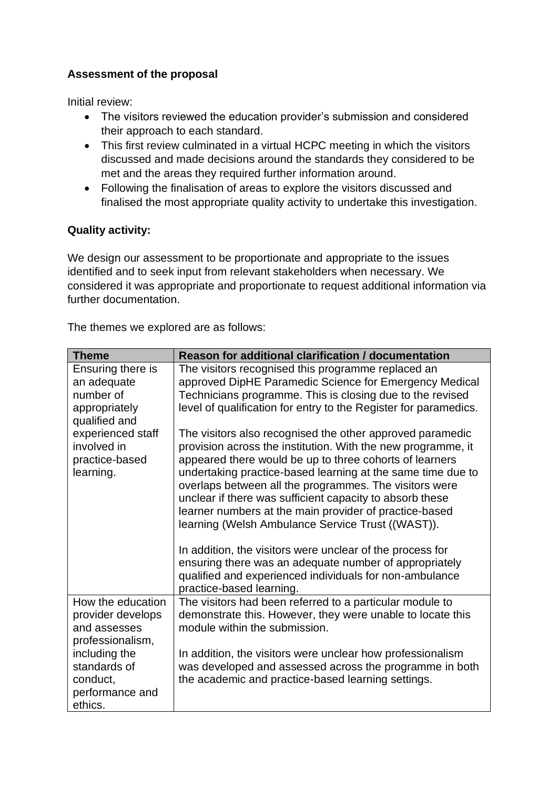# **Assessment of the proposal**

Initial review:

- The visitors reviewed the education provider's submission and considered their approach to each standard.
- This first review culminated in a virtual HCPC meeting in which the visitors discussed and made decisions around the standards they considered to be met and the areas they required further information around.
- Following the finalisation of areas to explore the visitors discussed and finalised the most appropriate quality activity to undertake this investigation.

# **Quality activity:**

We design our assessment to be proportionate and appropriate to the issues identified and to seek input from relevant stakeholders when necessary. We considered it was appropriate and proportionate to request additional information via further documentation.

The themes we explored are as follows:

| <b>Theme</b>                     | <b>Reason for additional clarification / documentation</b>                                                                |
|----------------------------------|---------------------------------------------------------------------------------------------------------------------------|
| Ensuring there is<br>an adequate | The visitors recognised this programme replaced an<br>approved DipHE Paramedic Science for Emergency Medical              |
| number of                        | Technicians programme. This is closing due to the revised                                                                 |
| appropriately<br>qualified and   | level of qualification for entry to the Register for paramedics.                                                          |
| experienced staff<br>involved in | The visitors also recognised the other approved paramedic<br>provision across the institution. With the new programme, it |
| practice-based                   | appeared there would be up to three cohorts of learners                                                                   |
| learning.                        | undertaking practice-based learning at the same time due to<br>overlaps between all the programmes. The visitors were     |
|                                  | unclear if there was sufficient capacity to absorb these                                                                  |
|                                  | learner numbers at the main provider of practice-based<br>learning (Welsh Ambulance Service Trust ((WAST)).               |
|                                  |                                                                                                                           |
|                                  | In addition, the visitors were unclear of the process for<br>ensuring there was an adequate number of appropriately       |
|                                  | qualified and experienced individuals for non-ambulance                                                                   |
|                                  | practice-based learning.                                                                                                  |
| How the education                | The visitors had been referred to a particular module to                                                                  |
| provider develops                | demonstrate this. However, they were unable to locate this<br>module within the submission.                               |
| and assesses<br>professionalism, |                                                                                                                           |
| including the                    | In addition, the visitors were unclear how professionalism                                                                |
| standards of                     | was developed and assessed across the programme in both                                                                   |
| conduct,                         | the academic and practice-based learning settings.                                                                        |
| performance and                  |                                                                                                                           |
| ethics.                          |                                                                                                                           |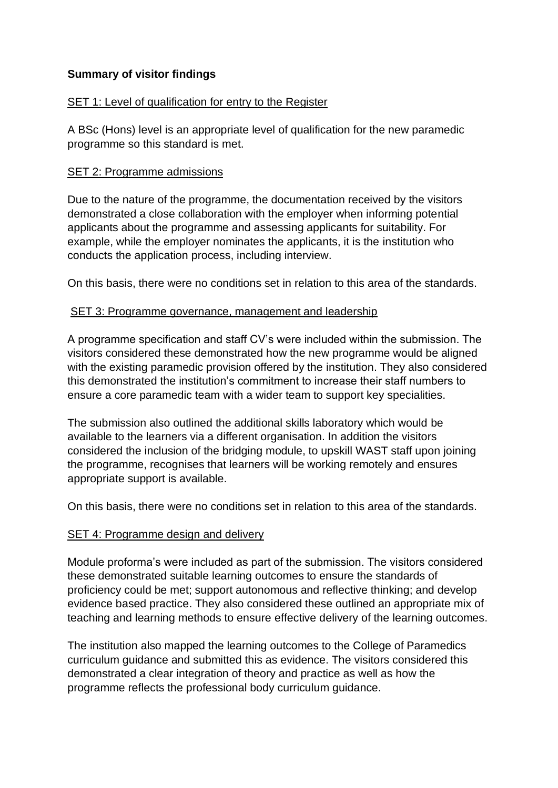#### **Summary of visitor findings**

#### SET 1: Level of qualification for entry to the Register

A BSc (Hons) level is an appropriate level of qualification for the new paramedic programme so this standard is met.

#### SET 2: Programme admissions

Due to the nature of the programme, the documentation received by the visitors demonstrated a close collaboration with the employer when informing potential applicants about the programme and assessing applicants for suitability. For example, while the employer nominates the applicants, it is the institution who conducts the application process, including interview.

On this basis, there were no conditions set in relation to this area of the standards.

#### SET 3: Programme governance, management and leadership

A programme specification and staff CV's were included within the submission. The visitors considered these demonstrated how the new programme would be aligned with the existing paramedic provision offered by the institution. They also considered this demonstrated the institution's commitment to increase their staff numbers to ensure a core paramedic team with a wider team to support key specialities.

The submission also outlined the additional skills laboratory which would be available to the learners via a different organisation. In addition the visitors considered the inclusion of the bridging module, to upskill WAST staff upon joining the programme, recognises that learners will be working remotely and ensures appropriate support is available.

On this basis, there were no conditions set in relation to this area of the standards.

#### SET 4: Programme design and delivery

Module proforma's were included as part of the submission. The visitors considered these demonstrated suitable learning outcomes to ensure the standards of proficiency could be met; support autonomous and reflective thinking; and develop evidence based practice. They also considered these outlined an appropriate mix of teaching and learning methods to ensure effective delivery of the learning outcomes.

The institution also mapped the learning outcomes to the College of Paramedics curriculum guidance and submitted this as evidence. The visitors considered this demonstrated a clear integration of theory and practice as well as how the programme reflects the professional body curriculum guidance.